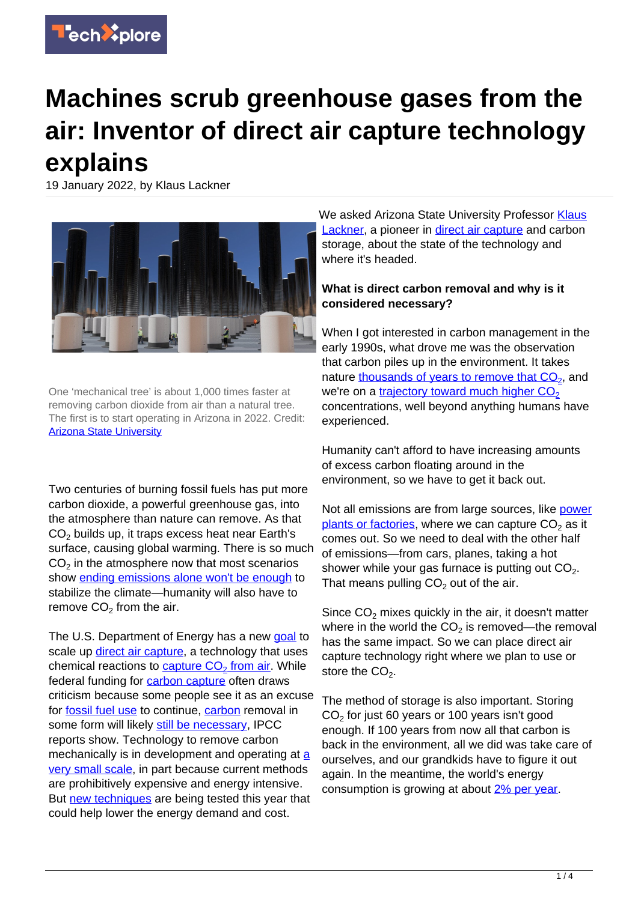

# **Machines scrub greenhouse gases from the air: Inventor of direct air capture technology explains**

19 January 2022, by Klaus Lackner



One 'mechanical tree' is about 1,000 times faster at removing carbon dioxide from air than a natural tree. The first is to start operating in Arizona in 2022. Credit: [Arizona State University](https://news.asu.edu/20210702-carbon-collect-mechanicaltree-selected-us-department-energy-award)

Two centuries of burning fossil fuels has put more carbon dioxide, a powerful greenhouse gas, into the atmosphere than nature can remove. As that  $\mathsf{CO}_2$  builds up, it traps excess heat near Earth's surface, causing global warming. There is so much  $CO<sub>2</sub>$  in the atmosphere now that most scenarios show [ending emissions alone won't be enough](https://www.ipcc.ch/sr15/chapter/spm/) to stabilize the climate—humanity will also have to remove  $CO<sub>2</sub>$  from the air.

The U.S. Department of Energy has a new [goal](https://www.energy.gov/articles/secretary-granholm-launches-carbon-negative-earthshots-remove-gigatons-carbon-pollution) to scale up [direct air capture](https://www.iea.org/reports/direct-air-capture), a technology that uses chemical reactions to <u>[capture CO](https://climeworks.com/roadmap/orca)<sub>[2](https://climeworks.com/roadmap/orca)</sub> [from air](https://climeworks.com/roadmap/orca)</u>. While federal funding for **carbon capture** often draws criticism because some people see it as an excuse for [fossil fuel use](https://techxplore.com/tags/fossil+fuel+use/) to continue, [carbon](https://techxplore.com/tags/carbon/) removal in some form will likely [still be necessary,](https://www.ipcc.ch/sr15/chapter/spm/) IPCC reports show. Technology to remove carbon mechanically is in development [a](https://www.iea.org/reports/direct-air-capture)nd operating at a [very small scale,](https://www.iea.org/reports/direct-air-capture) in part because current methods are prohibitively expensive and energy intensive. But [new techniques](https://news.asu.edu/20210702-carbon-collect-mechanicaltree-selected-us-department-energy-award) are being tested this year that could help lower the energy demand and cost.

We asked Arizona State University Professor [Klaus](https://sustainability-innovation.asu.edu/research/project/center-for-negative-carbon-emissions/) [Lackner,](https://sustainability-innovation.asu.edu/research/project/center-for-negative-carbon-emissions/) a pioneer in [direct air capture](https://techxplore.com/tags/direct+air+capture/) and carbon storage, about the state of the technology and where it's headed.

## **What is direct carbon removal and why is it considered necessary?**

When I got interested in carbon management in the early 1990s, what drove me was the observation that carbon piles up in the environment. It takes nature [thousands of years to remove that CO](https://doi.org/10.1038/climate.2008.122)<sub>[2](https://doi.org/10.1038/climate.2008.122)</sub>, and we're on a trajectory toward much higher  $CO<sub>2</sub>$  $CO<sub>2</sub>$  $CO<sub>2</sub>$ concentrations, well beyond anything humans have experienced.

Humanity can't afford to have increasing amounts of excess carbon floating around in the environment, so we have to get it back out.

Not all emissions are from large sources, like [power](https://ccsknowledge.com/pub/Publications/PAPER_GHGT15_SaskPowers_BD3_Journey_Achieving_Reliability_Mar2021.pdf) [plants or factories](https://ccsknowledge.com/pub/Publications/PAPER_GHGT15_SaskPowers_BD3_Journey_Achieving_Reliability_Mar2021.pdf), where we can capture CO<sub>2</sub> as it comes out. So we need to deal with the other half of emissions—from cars, planes, taking a hot shower while your gas furnace is putting out  $CO<sub>2</sub>$ . That means pulling  $CO<sub>2</sub>$  out of the air.

Since  $CO<sub>2</sub>$  mixes quickly in the air, it doesn't matter where in the world the CO<sub>2</sub> is removed—the removal has the same impact. So we can place direct air capture technology right where we plan to use or store the  $CO<sub>2</sub>$ .

The method of storage is also important. Storing  $CO<sub>2</sub>$  for just 60 years or 100 years isn't good enough. If 100 years from now all that carbon is back in the environment, all we did was take care of ourselves, and our grandkids have to figure it out again. In the meantime, the world's energy consumption is growing at about [2% per year.](https://yearbook.enerdata.net/total-energy/world-consumption-statistics.html)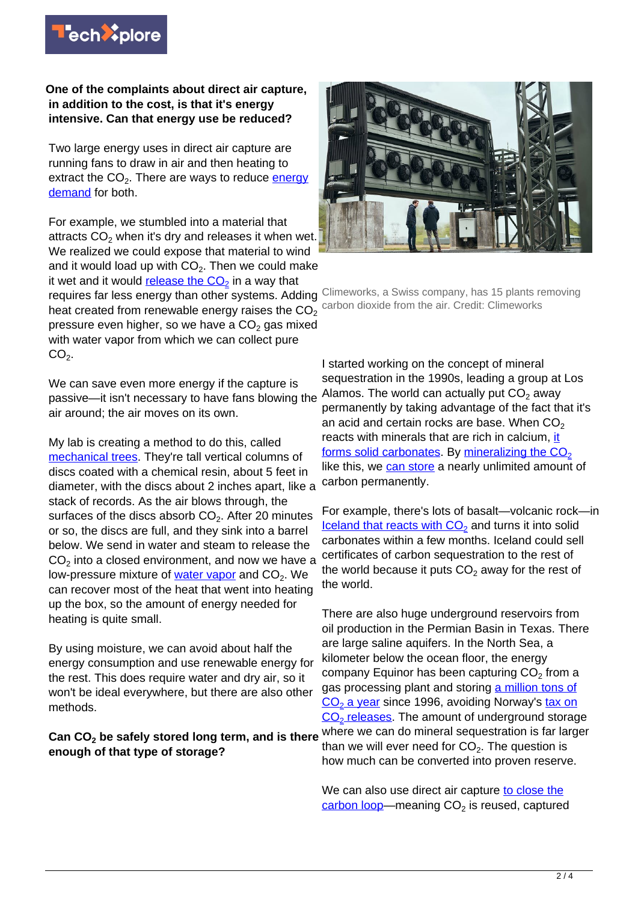

#### **One of the complaints about direct air capture, in addition to the cost, is that it's energy intensive. Can that energy use be reduced?**

Two large energy uses in direct air capture are running fans to draw in air and then heating to extract the CO<sub>2</sub>. There are ways to reduce <u>energy</u> [demand](https://techxplore.com/tags/energy+demand/) for both.

For example, we stumbled into a material that attracts  $\mathsf{CO}_2$  when it's dry and releases it when wet. We realized we could expose that material to wind and it would load up with CO<sub>2</sub>. Then we could make it wet and it would <u>[release the CO](https://pubs.rsc.org/en/content/articlelanding/2013/CP/C2CP43124F)<sub>[2](https://pubs.rsc.org/en/content/articlelanding/2013/CP/C2CP43124F)</sub></u> in a way that

heat created from renewable energy raises the  $CO<sub>2</sub>$ pressure even higher, so we have a CO $_2$  gas mixed with water vapor from which we can collect pure  $CO<sub>2</sub>$ .

We can save even more energy if the capture is passive—it isn't necessary to have fans blowing the air around; the air moves on its own.

My lab is creating a method to do this, called [mechanical trees](https://news.asu.edu/20210702-carbon-collect-mechanicaltree-selected-us-department-energy-award). They're tall vertical columns of discs coated with a chemical resin, about 5 feet in diameter, with the discs about 2 inches apart, like a stack of records. As the air blows through, the surfaces of the discs absorb  $\mathsf{CO}_2$ . After 20 minutes or so, the discs are full, and they sink into a barrel below. We send in water and steam to release the  $\mathsf{CO}_2$  into a closed environment, and now we have a low-pressure mixture of <u>[water vapor](https://techxplore.com/tags/water+vapor/)</u> and CO<sub>2</sub>. We can recover most of the heat that went into heating up the box, so the amount of energy needed for heating is quite small.

By using moisture, we can avoid about half the energy consumption and use renewable energy for the rest. This does require water and dry air, so it won't be ideal everywhere, but there are also other methods.

# **Can CO<sup>2</sup> be safely stored long term, and is there enough of that type of storage?**



requires far less energy than other systems. Adding Climeworks, a Swiss company, has 15 plants removing carbon dioxide from the air. Credit: Climeworks

> I started working on the concept of mineral sequestration in the 1990s, leading a group at Los Alamos. The world can actually put  $CO<sub>2</sub>$  away permanently by taking advantage of the fact that it's an acid and certain rocks are base. When  $CO<sub>2</sub>$ reacts w[it](https://www.nap.edu/read/25259/chapter/8#248)h minerals that are rich in calcium, it [forms solid carbonates](https://www.nap.edu/read/25259/chapter/8#248). By mineralizing the  $CO<sub>2</sub>$  $CO<sub>2</sub>$  $CO<sub>2</sub>$ like this, we [can store](https://doi.org/10.3133/sir20185079) a nearly unlimited amount of carbon permanently.

For example, there's lots of basalt—volcanic rock—in  $I$ celand that reacts with  $CO<sub>2</sub>$  $CO<sub>2</sub>$  $CO<sub>2</sub>$  and turns it into solid carbonates within a few months. Iceland could sell certificates of carbon sequestration to the rest of the world because it puts CO<sub>2</sub> away for the rest of the world.

There are also huge underground reservoirs from oil production in the Permian Basin in Texas. There are large saline aquifers. In the North Sea, a kilometer below the ocean floor, the energy company Equinor has been capturing  $CO<sub>2</sub>$  from a gas processing plant and storing [a million tons of](https://www.equinor.com/en/what-we-do/carbon-capture-and-storage.html) <u>[CO](https://www.equinor.com/en/what-we-do/carbon-capture-and-storage.html)<sub>[2](https://www.equinor.com/en/what-we-do/carbon-capture-and-storage.html)</sub> a year</u> since 1996, avoiding Norway's <u>tax on</u> [CO](https://sequestration.mit.edu/tools/projects/sleipner.html)<sub>[2](https://sequestration.mit.edu/tools/projects/sleipner.html)</sub> [releases.](https://sequestration.mit.edu/tools/projects/sleipner.html) The amount of underground storage where we can do mineral sequestration is far larger than we will ever need for  $\mathsf{CO}_{2}$ . The question is how much can be converted into proven reserve.

We can also use direct air capture [to close the](https://www.vox.com/energy-and-environment/2020/1/8/20841897/climate-change-carbon-capture-circular-economy-recycle) [carbon loop—](https://www.vox.com/energy-and-environment/2020/1/8/20841897/climate-change-carbon-capture-circular-economy-recycle)meaning CO<sub>2</sub> is reused, captured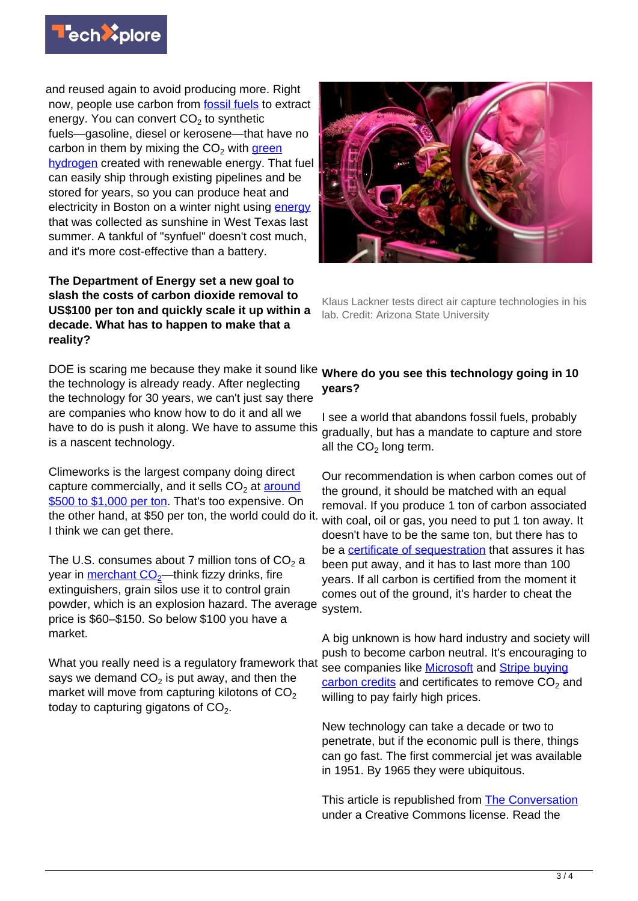

and reused again to avoid producing more. Right now, people use carbon from [fossil fuels](https://techxplore.com/tags/fossil+fuels/) to extract energy. You can convert CO $_2$  to synthetic fuels—gasoline, diesel or kerosene—that have no carbon in them by mixing the CO<sub>2</sub> with [green](https://www.greentechmedia.com/articles/read/green-hydrogen-explained) [hydrogen](https://www.greentechmedia.com/articles/read/green-hydrogen-explained) created with renewable energy. That fuel can easily ship through existing pipelines and be stored for years, so you can produce heat and electricity in Boston on a winter night using [energy](https://techxplore.com/tags/energy/) that was collected as sunshine in West Texas last summer. A tankful of "synfuel" doesn't cost much, and it's more cost-effective than a battery.

## **The Department of Energy set a new goal to slash the costs of carbon dioxide removal to US\$100 per ton and quickly scale it up within a decade. What has to happen to make that a reality?**

DOE is scaring me because they make it sound like the technology is already ready. After neglecting the technology for 30 years, we can't just say there are companies who know how to do it and all we have to do is push it along. We have to assume this is a nascent technology.

Climeworks is the largest company doing direct capture commercially, and it sells CO<sub>2</sub> at <u>around</u> [\\$500 to \\$1,000 per ton](https://www.bloomberg.com/news/features/2021-09-08/inside-the-world-s-largest-direct-carbon-capture-plant). That's too expensive. On the other hand, at \$50 per ton, the world could do it. I think we can get there.

The U.S. consumes about 7 million tons of CO $_{\rm 2}$  a year in **merchant CO<sub>[2](https://www.iea.org/reports/putting-co2-to-use)</sub>—think fizzy drinks**, fire extinguishers, grain silos use it to control grain powder, which is an explosion hazard. The average price is \$60–\$150. So below \$100 you have a market.

What you really need is a regulatory framework that says we demand CO $_2$  is put away, and then the market will move from capturing kilotons of  $CO<sub>2</sub>$ today to capturing gigatons of CO<sub>2</sub>.



Klaus Lackner tests direct air capture technologies in his lab. Credit: Arizona State University

# **Where do you see this technology going in 10 years?**

I see a world that abandons fossil fuels, probably gradually, but has a mandate to capture and store all the  $CO<sub>2</sub>$  long term.

Our recommendation is when carbon comes out of the ground, it should be matched with an equal removal. If you produce 1 ton of carbon associated with coal, oil or gas, you need to put 1 ton away. It doesn't have to be the same ton, but there has to be a [certificate of sequestration](https://www.researchgate.net/publication/355713440_Project_overview_-2021_Strengthening_the_certification_process_of_carbon_sequestration_a_collaborative_effort_to_identify_gaps_and_offer_solutions) that assures it has been put away, and it has to last more than 100 years. If all carbon is certified from the moment it comes out of the ground, it's harder to cheat the system.

A big unknown is how hard industry and society will push to become carbon neutral. It's encouraging to see companies like **Microsoft** and **Stripe buying**  $c$ arbon credits and certificates to remove  $CO<sub>2</sub>$  and willing to pay fairly high prices.

New technology can take a decade or two to penetrate, but if the economic pull is there, things can go fast. The first commercial jet was available in 1951. By 1965 they were ubiquitous.

This article is republished from [The Conversation](https://theconversation.com) under a Creative Commons license. Read the